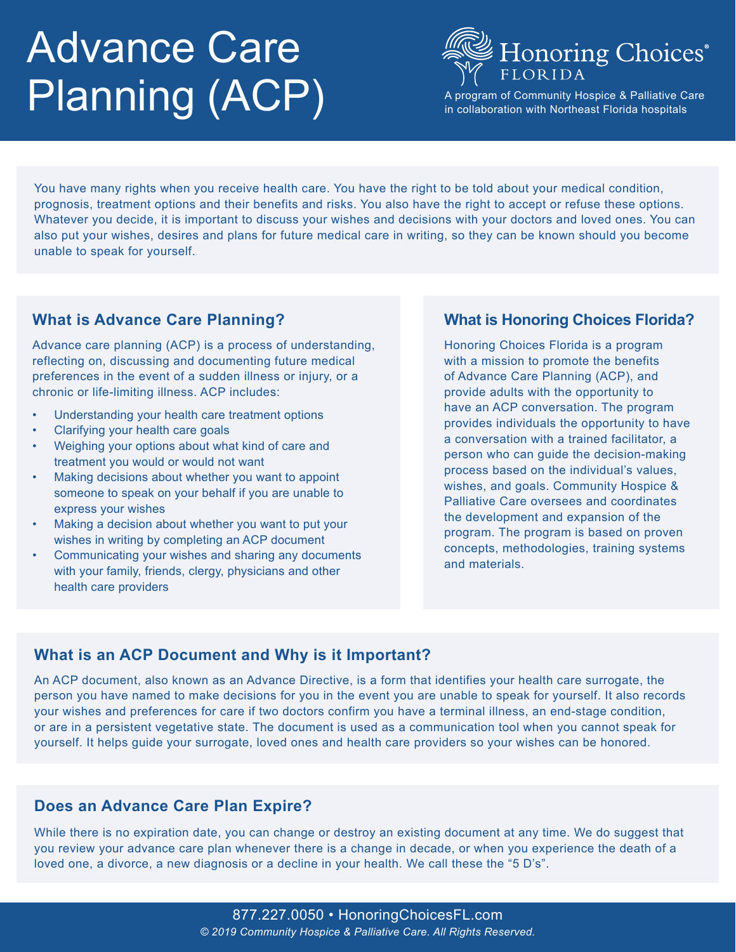# Advance Care Planning (ACP)



A program of Community Hospice & Palliative Care in collaboration with Northeast Florida hospitals

You have many rights when you receive health care. You have the right to be told about your medical condition, prognosis, treatment options and their benefits and risks. You also have the right to accept or refuse these options. Whatever you decide, it is important to discuss your wishes and decisions with your doctors and loved ones. You can also put your wishes, desires and plans for future medical care in writing, so they can be known should you become unable to speak for yourself.

# **What is Advance Care Planning?**

Advance care planning (ACP) is a process of understanding, reflecting on, discussing and documenting future medical preferences in the event of a sudden illness or injury, or a chronic or life-limiting illness. ACP includes:

- Understanding your health care treatment options
- Clarifying your health care goals
- Weighing your options about what kind of care and treatment you would or would not want
- Making decisions about whether you want to appoint someone to speak on your behalf if you are unable to express your wishes
- Making a decision about whether you want to put your wishes in writing by completing an ACP document
- Communicating your wishes and sharing any documents with your family, friends, clergy, physicians and other health care providers

## **What is Honoring Choices Florida?**

Honoring Choices Florida is a program with a mission to promote the benefits of Advance Care Planning (ACP), and provide adults with the opportunity to have an ACP conversation. The program provides individuals the opportunity to have a conversation with a trained facilitator, a person who can guide the decision-making process based on the individual's values, wishes, and goals. Community Hospice & Palliative Care oversees and coordinates the development and expansion of the program. The program is based on proven concepts, methodologies, training systems and materials.

# **What is an ACP Document and Why is it Important?**

An ACP document, also known as an Advance Directive, is a form that identifies your health care surrogate, the person you have named to make decisions for you in the event you are unable to speak for yourself. It also records your wishes and preferences for care if two doctors confirm you have a terminal illness, an end-stage condition, or are in a persistent vegetative state. The document is used as a communication tool when you cannot speak for yourself. It helps guide your surrogate, loved ones and health care providers so your wishes can be honored.

## **Does an Advance Care Plan Expire?**

While there is no expiration date, you can change or destroy an existing document at any time. We do suggest that you review your advance care plan whenever there is a change in decade, or when you experience the death of a loved one, a divorce, a new diagnosis or a decline in your health. We call these the "5 D's".